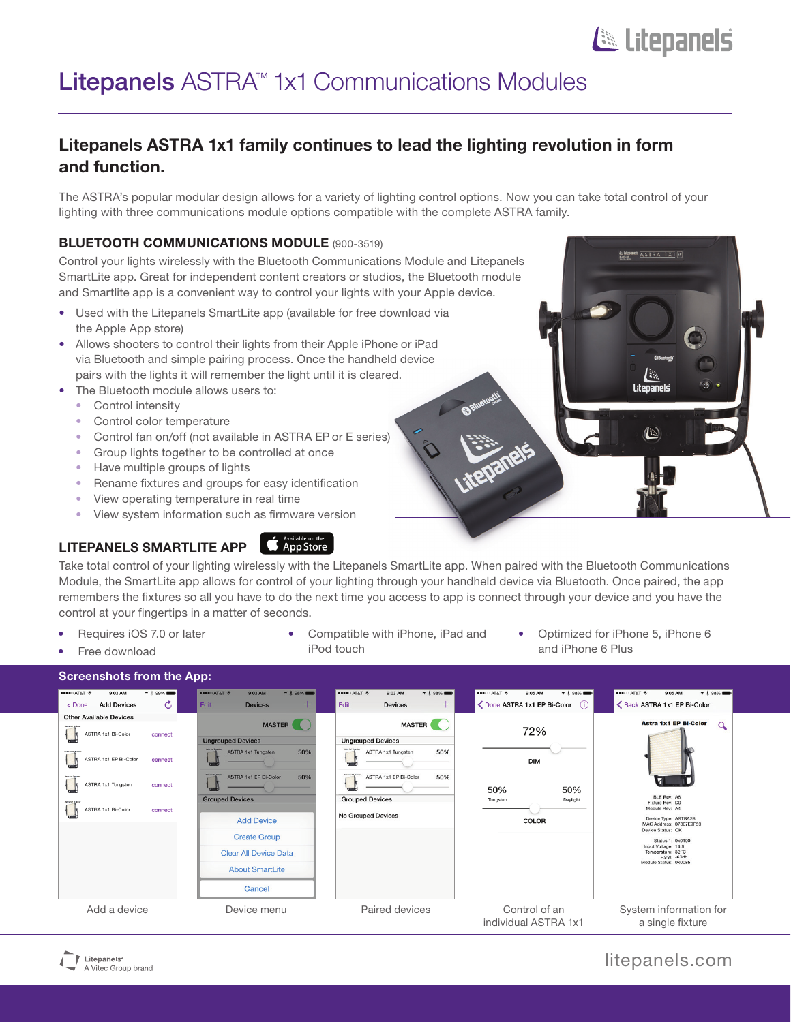# Litepanels

AL**utepanets**<br>Nessan ALSTRA 1X1

Litenanels

# Litepanels ASTRA<sup>™</sup> 1x1 Communications Modules

## Litepanels ASTRA 1x1 family continues to lead the lighting revolution in form and function.

The ASTRA's popular modular design allows for a variety of lighting control options. Now you can take total control of your lighting with three communications module options compatible with the complete ASTRA family.

### **BLUETOOTH COMMUNICATIONS MODULE (900-3519)**

Control your lights wirelessly with the Bluetooth Communications Module and Litepanels SmartLite app. Great for independent content creators or studios, the Bluetooth module and Smartlite app is a convenient way to control your lights with your Apple device.

- Used with the Litepanels SmartLite app (available for free download via the Apple App store)
- Allows shooters to control their lights from their Apple iPhone or iPad via Bluetooth and simple pairing process. Once the handheld device pairs with the lights it will remember the light until it is cleared.
- The Bluetooth module allows users to:
	- Control intensity
	- Control color temperature
	- Control fan on/off (not available in ASTRA EP or E series)
	- Group lights together to be controlled at once
	- Have multiple groups of lights
	- Rename fixtures and groups for easy identification
	- View operating temperature in real time
	- View system information such as firmware version

## LITEPANELS SMARTLITE APP

## **App Store**

Take total control of your lighting wirelessly with the Litepanels SmartLite app. When paired with the Bluetooth Communications Module, the SmartLite app allows for control of your lighting through your handheld device via Bluetooth. Once paired, the app remembers the fixtures so all you have to do the next time you access to app is connect through your device and you have the control at your fingertips in a matter of seconds.

- Requires iOS 7.0 or later
- Free download
- Compatible with iPhone, iPad and iPod touch
- Optimized for iPhone 5, iPhone 6 and iPhone 6 Plus

| <b>Screenshots from the App:</b>                     |                |                                           |                                                           |            |                                           |                                              |            |               |                                       |                   |                                                                                        |                                                                                   |                |  |
|------------------------------------------------------|----------------|-------------------------------------------|-----------------------------------------------------------|------------|-------------------------------------------|----------------------------------------------|------------|---------------|---------------------------------------|-------------------|----------------------------------------------------------------------------------------|-----------------------------------------------------------------------------------|----------------|--|
| ●●●●○ AT&T 令<br>9:03 AM                              | <b>ィ</b> % 99% | esseo AT&T <b>全</b>                       | 9:03 AM                                                   | → * 98% ■  | esseo AT&T 令                              | 9:03 AM                                      | → * 98% ■  | $-40000$ AT&T | 9:05 AM                               | <b>ィ</b> * 98% ■■ | ●●●○○ AT&T 令                                                                           | 9:05 AM                                                                           | <b>ィ * 98%</b> |  |
| <b>Add Devices</b><br>$<$ Done                       | C.             | Edit                                      | <b>Devices</b>                                            | ÷          | Edit                                      | <b>Devices</b>                               | $+$        |               | ◯ Done ASTRA 1x1 EP Bi-Color          | (i)               |                                                                                        | Back ASTRA 1x1 EP Bi-Color                                                        |                |  |
| <b>Other Available Devices</b><br>ASTRA 1x1 Bi-Color |                | <b>MASTER</b><br><b>Ungrouped Devices</b> |                                                           |            | <b>MASTER</b><br><b>Ungrouped Devices</b> |                                              |            | 72%           |                                       |                   | <b>Astra 1x1 EP Bi-Color</b>                                                           |                                                                                   |                |  |
| <b>ASTRA 1x1 EP Bi-Color</b>                         | connect        |                                           | <b>ASTRA 1x1 Tungsten</b><br><b>ASTRA 1x1 EP Bi-Color</b> | 50%<br>50% |                                           | ASTRA 1x1 Tungsten<br>ASTRA 1x1 EP Bi-Color  | 50%<br>50% |               | <b>DIM</b>                            |                   |                                                                                        |                                                                                   |                |  |
| ASTRA 1x1 Tungsten                                   | connect        |                                           | <b>Grouped Devices</b><br><b>Add Device</b>               |            |                                           | <b>Grouped Devices</b><br>No Grouped Devices |            |               |                                       | 50%<br>Daylight   | BLE Rev: A6<br>Fixture Rev: DO                                                         |                                                                                   |                |  |
| ASTRA 1x1 Bi-Color                                   | connect        |                                           |                                                           |            |                                           |                                              |            |               | COLOR                                 |                   | Module Rev: A4<br>Device Type: ASTRA2B<br>MAC Address: 07807E9F53<br>Device Status: OK |                                                                                   |                |  |
|                                                      |                |                                           | <b>Create Group</b>                                       |            |                                           |                                              |            |               |                                       |                   |                                                                                        | Status 1: 0x0100                                                                  |                |  |
|                                                      |                |                                           | <b>Clear All Device Data</b>                              |            |                                           |                                              |            |               |                                       |                   |                                                                                        | Input Voltage: 14.9<br>Temperature: 32 °C<br>RSSI: -63db<br>Module Status: 0x0085 |                |  |
|                                                      |                |                                           | <b>About SmartLite</b>                                    |            |                                           |                                              |            |               |                                       |                   |                                                                                        |                                                                                   |                |  |
|                                                      |                |                                           | Cancel                                                    |            |                                           |                                              |            |               |                                       |                   |                                                                                        |                                                                                   |                |  |
| Add a device                                         |                |                                           | Device menu                                               |            |                                           | Paired devices                               |            |               | Control of an<br>individual ASTRA 1x1 |                   |                                                                                        | System information for<br>a single fixture                                        |                |  |



## litepanels.com